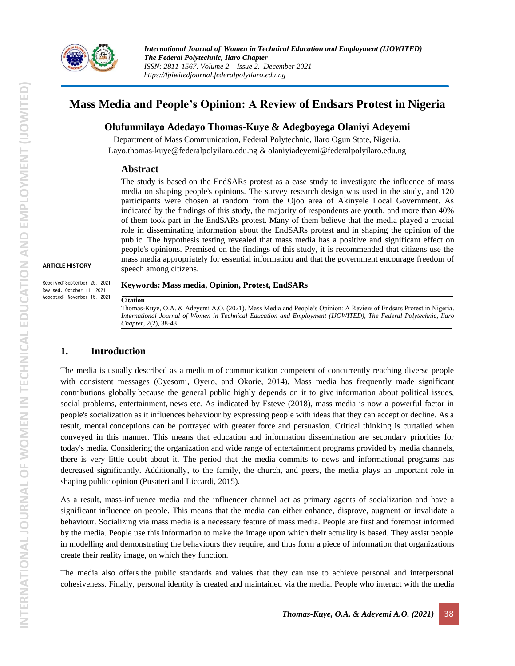

# **Mass Media and People's Opinion: A Review of Endsars Protest in Nigeria**

## **Olufunmilayo Adedayo Thomas-Kuye & Adegboyega Olaniyi Adeyemi**

Department of Mass Communication, Federal Polytechnic, Ilaro Ogun State, Nigeria. [Layo.thomas-kuye@federalpolyilaro.edu.ng](mailto:Layo.thomas-kuye@federalpolyilaro.edu.ng) & olaniyiadeyemi@federalpolyilaro.edu.ng

#### **Abstract**

The study is based on the EndSARs protest as a case study to investigate the influence of mass media on shaping people's opinions. The survey research design was used in the study, and 120 participants were chosen at random from the Ojoo area of Akinyele Local Government. As indicated by the findings of this study, the majority of respondents are youth, and more than 40% of them took part in the EndSARs protest. Many of them believe that the media played a crucial role in disseminating information about the EndSARs protest and in shaping the opinion of the public. The hypothesis testing revealed that mass media has a positive and significant effect on people's opinions. Premised on the findings of this study, it is recommended that citizens use the mass media appropriately for essential information and that the government encourage freedom of speech among citizens.

#### **ARTICLE HISTORY**

Received:September 25, 2021 Revised: October 11, 2021 Accepted: November 15, 2021

#### **Keywords: Mass media, Opinion, Protest, EndSARs**

**Citation**

Thomas-Kuye, O.A. & Adeyemi A.O. (2021). Mass Media and People's Opinion: A Review of Endsars Protest in Nigeria. *International Journal of Women in Technical Education and Employment (IJOWITED), The Federal Polytechnic, Ilaro Chapter*, 2(2), 38-43

## **1. Introduction**

The media is usually described as a medium of communication competent of concurrently reaching diverse people with consistent messages (Oyesomi, Oyero, and Okorie, 2014). Mass media has frequently made significant contributions globally because the general public highly depends on it to give information about political issues, social problems, entertainment, news etc. As indicated by Esteve (2018), mass media is now a powerful factor in people's socialization as it influences behaviour by expressing people with ideas that they can accept or decline. As a result, mental conceptions can be portrayed with greater force and persuasion. Critical thinking is curtailed when conveyed in this manner. This means that education and information dissemination are secondary priorities for today's media. Considering the organization and wide range of entertainment programs provided by media channels, there is very little doubt about it. The period that the media commits to news and informational programs has decreased significantly. Additionally, to the family, the church, and peers, the media plays an important role in shaping public opinion (Pusateri and Liccardi, 2015).

As a result, mass-influence media and the influencer channel act as primary agents of socialization and have a significant influence on people. This means that the media can either enhance, disprove, augment or invalidate a behaviour. Socializing via mass media is a necessary feature of mass media. People are first and foremost informed by the media. People use this information to make the image upon which their actuality is based. They assist people in modelling and demonstrating the behaviours they require, and thus form a piece of information that organizations create their reality image, on which they function.

The media also offers the public standards and values that they can use to achieve personal and interpersonal cohesiveness. Finally, personal identity is created and maintained via the media. People who interact with the media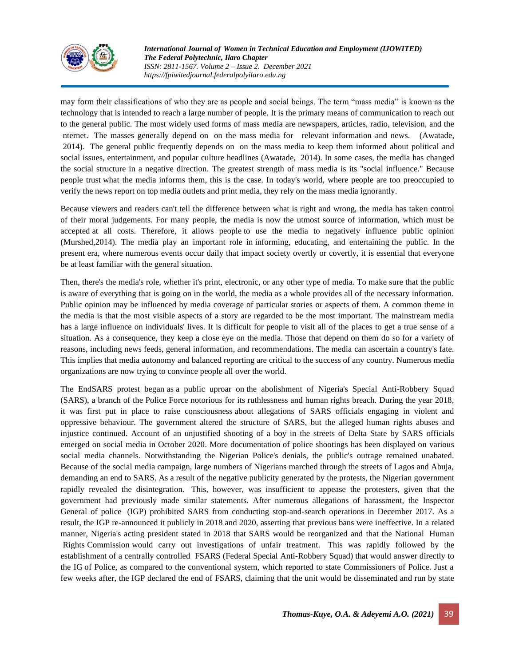

*International Journal of Women in Technical Education and Employment (IJOWITED) The Federal Polytechnic, Ilaro Chapter ISSN: 2811-1567. Volume 2 – Issue 2. December 2021 https://fpiwitedjournal.federalpolyilaro.edu.ng*

may form their classifications of who they are as people and social beings. The term "mass media" is known as the technology that is intended to reach a large number of people. It is the primary means of communication to reach out to the general public. The most widely used forms of mass media are newspapers, articles, radio, television, and the nternet. The masses generally depend on on the mass media for relevant information and news. (Awatade, 2014). The general public frequently depends on on the mass media to keep them informed about political and social issues, entertainment, and popular culture headlines (Awatade, 2014). In some cases, the media has changed the social structure in a negative direction. The greatest strength of mass media is its "social influence." Because people trust what the media informs them, this is the case. In today's world, where people are too preoccupied to verify the news report on top media outlets and print media, they rely on the mass media ignorantly.

Because viewers and readers can't tell the difference between what is right and wrong, the media has taken control of their moral judgements. For many people, the media is now the utmost source of information, which must be accepted at all costs. Therefore, it allows people to use the media to negatively influence public opinion (Murshed,2014). The media play an important role in informing, educating, and entertaining the public. In the present era, where numerous events occur daily that impact society overtly or covertly, it is essential that everyone be at least familiar with the general situation.

Then, there's the media's role, whether it's print, electronic, or any other type of media. To make sure that the public is aware of everything that is going on in the world, the media as a whole provides all of the necessary information. Public opinion may be influenced by media coverage of particular stories or aspects of them. A common theme in the media is that the most visible aspects of a story are regarded to be the most important. The mainstream media has a large influence on individuals' lives. It is difficult for people to visit all of the places to get a true sense of a situation. As a consequence, they keep a close eye on the media. Those that depend on them do so for a variety of reasons, including news feeds, general information, and recommendations. The media can ascertain a country's fate. This implies that media autonomy and balanced reporting are critical to the success of any country. Numerous media organizations are now trying to convince people all over the world.

The EndSARS protest began as a public uproar on the abolishment of Nigeria's Special Anti-Robbery Squad (SARS), a branch of the Police Force notorious for its ruthlessness and human rights breach. During the year 2018, it was first put in place to raise consciousness about allegations of SARS officials engaging in violent and oppressive behaviour. The government altered the structure of SARS, but the alleged human rights abuses and injustice continued. Account of an unjustified shooting of a boy in the streets of Delta State by SARS officials emerged on social media in October 2020. More documentation of police shootings has been displayed on various social media channels. Notwithstanding the Nigerian Police's denials, the public's outrage remained unabated. Because of the social media campaign, large numbers of Nigerians marched through the streets of Lagos and Abuja, demanding an end to SARS. As a result of the negative publicity generated by the protests, the Nigerian government rapidly revealed the disintegration. This, however, was insufficient to appease the protesters, given that the government had previously made similar statements. After numerous allegations of harassment, the Inspector General of police (IGP) prohibited SARS from conducting stop-and-search operations in December 2017. As a result, the IGP re-announced it publicly in 2018 and 2020, asserting that previous bans were ineffective. In a related manner, Nigeria's acting president stated in 2018 that SARS would be reorganized and that the National Human Rights Commission would carry out investigations of unfair treatment. This was rapidly followed by the establishment of a centrally controlled FSARS (Federal Special Anti-Robbery Squad) that would answer directly to the IG of Police, as compared to the conventional system, which reported to state Commissioners of Police. Just a few weeks after, the IGP declared the end of FSARS, claiming that the unit would be disseminated and run by state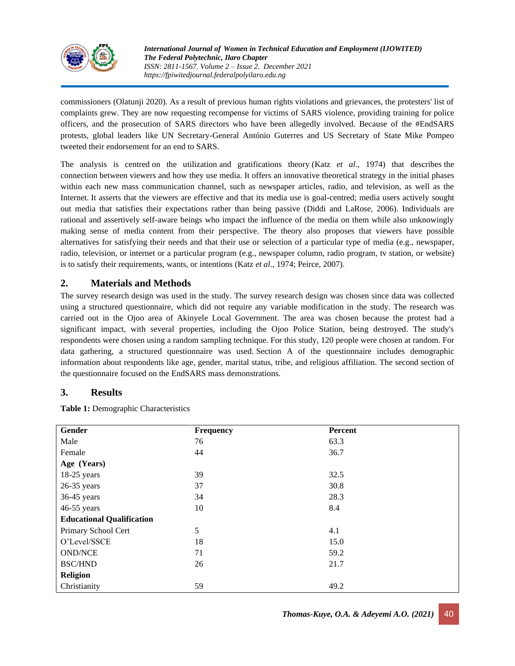

*International Journal of Women in Technical Education and Employment (IJOWITED) The Federal Polytechnic, Ilaro Chapter ISSN: 2811-1567. Volume 2 – Issue 2. December 2021 https://fpiwitedjournal.federalpolyilaro.edu.ng*

commissioners (Olatunji 2020). As a result of previous human rights violations and grievances, the protesters' list of complaints grew. They are now requesting recompense for victims of SARS violence, providing training for police officers, and the prosecution of SARS directors who have been allegedly involved. Because of the #EndSARS protests, global leaders like UN Secretary-General António Guterres and US Secretary of State Mike Pompeo tweeted their endorsement for an end to SARS.

The analysis is centred on the utilization and gratifications theory (Katz *et al*., 1974) that describes the connection between viewers and how they use media. It offers an innovative theoretical strategy in the initial phases within each new mass communication channel, such as newspaper articles, radio, and television, as well as the Internet. It asserts that the viewers are effective and that its media use is goal-centred; media users actively sought out media that satisfies their expectations rather than being passive (Diddi and LaRose, 2006). Individuals are rational and assertively self-aware beings who impact the influence of the media on them while also unknowingly making sense of media content from their perspective. The theory also proposes that viewers have possible alternatives for satisfying their needs and that their use or selection of a particular type of media (e.g., newspaper, radio, television, or internet or a particular program (e.g., newspaper column, radio program, tv station, or website) is to satisfy their requirements, wants, or intentions (Katz *et al*., 1974; Peirce, 2007).

# **2. Materials and Methods**

The survey research design was used in the study. The survey research design was chosen since data was collected using a structured questionnaire, which did not require any variable modification in the study. The research was carried out in the Ojoo area of Akinyele Local Government. The area was chosen because the protest had a significant impact, with several properties, including the Ojoo Police Station, being destroyed. The study's respondents were chosen using a random sampling technique. For this study, 120 people were chosen at random. For data gathering, a structured questionnaire was used. Section A of the questionnaire includes demographic information about respondents like age, gender, marital status, tribe, and religious affiliation. The second section of the questionnaire focused on the EndSARS mass demonstrations.

## **3. Results**

**Table 1:** Demographic Characteristics

| Gender                           | Frequency | Percent |  |
|----------------------------------|-----------|---------|--|
| Male                             | 76        | 63.3    |  |
| Female                           | 44        | 36.7    |  |
| Age (Years)                      |           |         |  |
| $18-25$ years                    | 39        | 32.5    |  |
| $26-35$ years                    | 37        | 30.8    |  |
| 36-45 years                      | 34        | 28.3    |  |
| 46-55 years                      | 10        | 8.4     |  |
| <b>Educational Qualification</b> |           |         |  |
| Primary School Cert              | 5         | 4.1     |  |
| O'Level/SSCE                     | 18        | 15.0    |  |
| <b>OND/NCE</b>                   | 71        | 59.2    |  |
| <b>BSC/HND</b>                   | 26        | 21.7    |  |
| Religion                         |           |         |  |
| Christianity                     | 59        | 49.2    |  |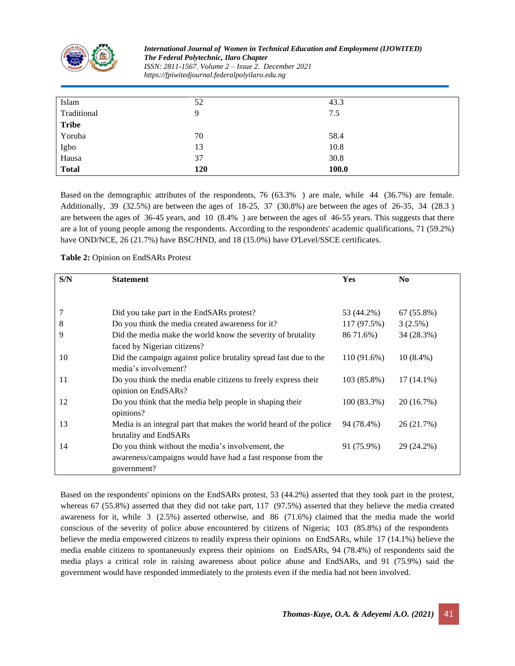

*International Journal of Women in Technical Education and Employment (IJOWITED) The Federal Polytechnic, Ilaro Chapter ISSN: 2811-1567. Volume 2 – Issue 2. December 2021 https://fpiwitedjournal.federalpolyilaro.edu.ng*

| Islam        | 52  | 43.3  |
|--------------|-----|-------|
| Traditional  | 9   | 7.5   |
| <b>Tribe</b> |     |       |
| Yoruba       | 70  | 58.4  |
| Igbo         | 13  | 10.8  |
| Hausa        | 37  | 30.8  |
| <b>Total</b> | 120 | 100.0 |

Based on the demographic attributes of the respondents,  $76 (63.3\%)$  are male, while 44  $(36.7\%)$  are female. Additionally, 39  $(32.5\%)$  are between the ages of 18-25, 37  $(30.8\%)$  are between the ages of 26-35, 34  $(28.3)$ are between the ages of  $36-45$  years, and  $10$   $(8.4\%)$  are between the ages of 46-55 years. This suggests that there are ailot of young people among the respondents. According to the respondents' academic qualifications, 71 (59.2%) have OND/NCE, 26 (21.7%) have BSC/HND, and 18 (15.0%) have O'Level/SSCE certificates.

**Table 2:** Opinion on EndSARs Protest

| S/N | <b>Statement</b>                                                   | Yes         | N <sub>0</sub> |
|-----|--------------------------------------------------------------------|-------------|----------------|
|     |                                                                    |             |                |
|     |                                                                    |             |                |
|     | Did you take part in the EndSARs protest?                          | 53 (44.2%)  | 67 (55.8%)     |
| 8   | Do you think the media created awareness for it?                   | 117 (97.5%) | 3(2.5%)        |
| 9   | Did the media make the world know the severity of brutality        | 86 71.6%)   | 34 (28.3%)     |
|     | faced by Nigerian citizens?                                        |             |                |
| 10  | Did the campaign against police brutality spread fast due to the   | 110 (91.6%) | $10(8.4\%)$    |
|     | media's involvement?                                               |             |                |
| 11  | Do you think the media enable citizens to freely express their     | 103 (85.8%) | $17(14.1\%)$   |
|     | opinion on EndSARs?                                                |             |                |
| 12  | Do you think that the media help people in shaping their           | 100(83.3%)  | 20 (16.7%)     |
|     | opinions?                                                          |             |                |
| 13  | Media is an integral part that makes the world heard of the police | 94 (78.4%)  | 26 (21.7%)     |
|     | brutality and EndSARs                                              |             |                |
| 14  | Do you think without the media's involvement, the                  | 91 (75.9%)  | 29 (24.2%)     |
|     | awareness/campaigns would have had a fast response from the        |             |                |
|     | government?                                                        |             |                |

Based on the respondents' opinions on the EndSARs protest, 53 (44.2%) asserted that they took part in the protest, whereas 67 (55.8%) asserted that they did not take part,  $117$  (97.5%) asserted that they believe the media created awareness for it, while  $3$  (2.5%) asserted otherwise, and 86 (71.6%) claimed that the media made the world conscious of the severity of police abuse encountered by citizens of Nigeria; 103 (85.8%) of the respondents believe the media empowered citizens to readily express their opinions on EndSARs, while 17 (14.1%) believe the media enable citizens to spontaneously express their opinions on EndSARs, 94 (78.4%) of respondents said the media plays a critical role in raising awareness about police abuse and EndSARs, and 91 (75.9%) said the government would have responded immediately to the protests even if the media had not been involved.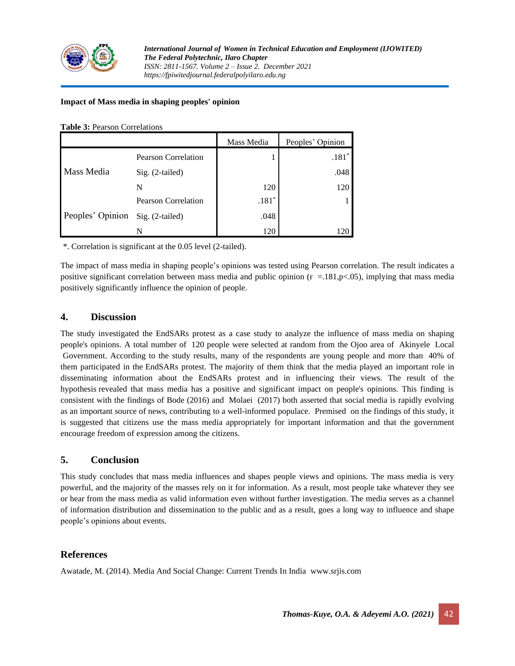

#### **Impact of Mass media in shaping peoples' opinion**

#### **Table 3:** Pearson Correlations

|                                  |                            | Mass Media | Peoples' Opinion |
|----------------------------------|----------------------------|------------|------------------|
| Mass Media                       | <b>Pearson Correlation</b> |            | $.181*$          |
|                                  | $Sig. (2-tailed)$          |            | .048             |
|                                  | N                          | 120        | 120              |
| Peoples' Opinion Sig. (2-tailed) | Pearson Correlation        | $.181*$    |                  |
|                                  |                            | .048       |                  |
|                                  | N                          | 120        | 120              |

\*. Correlation is significant at the 0.05 level (2-tailed).

The impact of mass media in shaping people's opinions was tested using Pearson correlation. The result indicates a positive significant correlation between mass media and public opinion ( $r = .181$ ,p $< .05$ ), implying that mass media positively significantly influence the opinion of people.

## **4. Discussion**

The study investigated the EndSARs protest as a case study to analyze the influence of mass media on shaping people's opinions. A total number of 120 people were selected at random from the Ojoo area of Akinyele Local Government. According to the study results, many of the respondents are young people and more than 40% of them participated in the EndSARs protest. The majority of them think that the media played an important role in disseminating information about the EndSARs protest and in influencing their views. The result of the hypothesis revealed that mass media has a positive and significant impact on people's opinions. This finding is consistent with the findings of Bode (2016) and Molaei (2017) both asserted that social media is rapidly evolving as an important source of news, contributing to a well-informed populace. Premised on the findings of this study, it is suggested that citizens use the mass media appropriately for important information and that the government encourage freedom of expression among the citizens.

## **5. Conclusion**

This study concludes that mass media influences and shapes people views and opinions. The mass media is very powerful, and the majority of the masses rely on it for information. As a result, most people take whatever they see or hear from the mass media as valid information even without further investigation. The media serves as a channel of information distribution and dissemination to the public and as a result, goes a long way to influence and shape people's opinions about events.

## **References**

Awatade, M. (2014). Media And Social Change: Current Trends In India www.srjis.com